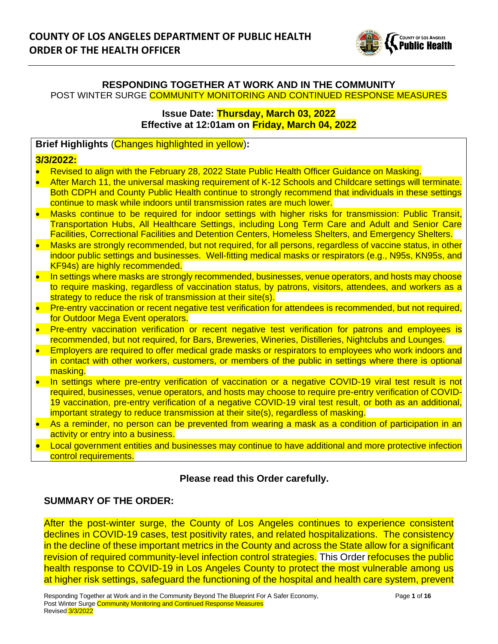

#### **RESPONDING TOGETHER AT WORK AND IN THE COMMUNITY** POST WINTER SURGE COMMUNITY MONITORING AND CONTINUED RESPONSE MEASURES

**Issue Date: Thursday, March 03, 2022 Effective at 12:01am on Friday, March 04, 2022**

### **Brief Highlights** (Changes highlighted in yellow)**:**

#### **3/3/2022:**

- Revised to align with the February 28, 2022 State Public Health Officer Guidance on Masking.
- After March 11, the universal masking requirement of K-12 Schools and Childcare settings will terminate. Both CDPH and County Public Health continue to strongly recommend that individuals in these settings continue to mask while indoors until transmission rates are much lower.
- Masks continue to be required for indoor settings with higher risks for transmission: Public Transit, Transportation Hubs, All Healthcare Settings, including Long Term Care and Adult and Senior Care Facilities, Correctional Facilities and Detention Centers, Homeless Shelters, and Emergency Shelters.
- Masks are strongly recommended, but not required, for all persons, regardless of vaccine status, in other indoor public settings and businesses. Well-fitting medical masks or respirators (e.g., N95s, KN95s, and KF94s) are highly recommended.
- In settings where masks are strongly recommended, businesses, venue operators, and hosts may choose to require masking, regardless of vaccination status, by patrons, visitors, attendees, and workers as a strategy to reduce the risk of transmission at their site(s).
- Pre-entry vaccination or recent negative test verification for attendees is recommended, but not required, for Outdoor Mega Event operators.
- Pre-entry vaccination verification or recent negative test verification for patrons and employees is recommended, but not required, for Bars, Breweries, Wineries, Distilleries, Nightclubs and Lounges.
- Employers are required to offer medical grade masks or respirators to employees who work indoors and in contact with other workers, customers, or members of the public in settings where there is optional masking.
- In settings where pre-entry verification of vaccination or a negative COVID-19 viral test result is not required, businesses, venue operators, and hosts may choose to require pre-entry verification of COVID-19 vaccination, pre-entry verification of a negative COVID-19 viral test result, or both as an additional, important strategy to reduce transmission at their site(s), regardless of masking.
- As a reminder, no person can be prevented from wearing a mask as a condition of participation in an activity or entry into a business.
- Local government entities and businesses may continue to have additional and more protective infection control requirements.

### **Please read this Order carefully.**

### **SUMMARY OF THE ORDER:**

After the post-winter surge, the County of Los Angeles continues to experience consistent declines in COVID-19 cases, test positivity rates, and related hospitalizations. The consistency in the decline of these important metrics in the County and across the State allow for a significant revision of required community-level infection control strategies. This Order refocuses the public health response to COVID-19 in Los Angeles County to protect the most vulnerable among us at higher risk settings, safeguard the functioning of the hospital and health care system, prevent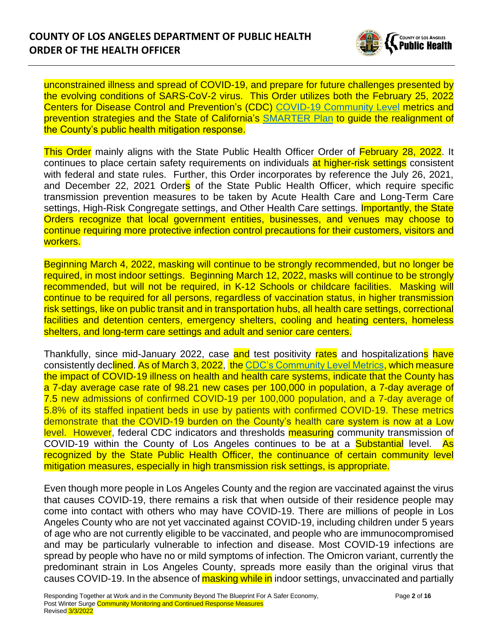

unconstrained illness and spread of COVID-19, and prepare for future challenges presented by the evolving conditions of SARS-CoV-2 virus. This Order utilizes both the February 25, 2022 Centers for Disease Control and Prevention's (CDC) [COVID-19 Community Level](https://www.cdc.gov/coronavirus/2019-ncov/your-health/covid-by-county.html) metrics and prevention strategies and the State of California's [SMARTER Plan](https://covid19.ca.gov/smarter/) to guide the realignment of the County's public health mitigation response.

This Order mainly aligns with the State Public Health Officer Order of February 28, 2022. It continues to place certain safety requirements on individuals at higher-risk settings consistent with federal and state rules. Further, this Order incorporates by reference the July 26, 2021, and December 22, 2021 Orders of the State Public Health Officer, which require specific transmission prevention measures to be taken by Acute Health Care and Long-Term Care settings, High-Risk Congregate settings, and Other Health Care settings. **Importantly, the State** Orders recognize that local government entities, businesses, and venues may choose to continue requiring more protective infection control precautions for their customers, visitors and workers.

Beginning March 4, 2022, masking will continue to be strongly recommended, but no longer be required, in most indoor settings. Beginning March 12, 2022, masks will continue to be strongly recommended, but will not be required, in K-12 Schools or childcare facilities. Masking will continue to be required for all persons, regardless of vaccination status, in higher transmission risk settings, like on public transit and in transportation hubs, all health care settings, correctional facilities and detention centers, emergency shelters, cooling and heating centers, homeless shelters, and long-term care settings and adult and senior care centers.

Thankfully, since mid-January 2022, case and test positivity rates and hospitalizations have consistently declined. As of March 3, 2022, the [CDC's Community Level Metrics,](https://www.cdc.gov/coronavirus/2019-ncov/your-health/covid-by-county.html) which measure the impact of COVID-19 illness on health and health care systems, indicate that the County has a 7-day average case rate of 98.21 new cases per 100,000 in population, a 7-day average of 7.5 new admissions of confirmed COVID-19 per 100,000 population, and a 7-day average of 5.8% of its staffed inpatient beds in use by patients with confirmed COVID-19. These metrics demonstrate that the COVID-19 burden on the County's health care system is now at a Low level. However, federal CDC indicators and thresholds **measuring** community transmission of COVID-19 within the County of Los Angeles continues to be at a **Substantial** level. As recognized by the State Public Health Officer, the continuance of certain community level mitigation measures, especially in high transmission risk settings, is appropriate.

Even though more people in Los Angeles County and the region are vaccinated against the virus that causes COVID-19, there remains a risk that when outside of their residence people may come into contact with others who may have COVID-19. There are millions of people in Los Angeles County who are not yet vaccinated against COVID-19, including children under 5 years of age who are not currently eligible to be vaccinated, and people who are immunocompromised and may be particularly vulnerable to infection and disease. Most COVID-19 infections are spread by people who have no or mild symptoms of infection. The Omicron variant, currently the predominant strain in Los Angeles County, spreads more easily than the original virus that causes COVID-19. In the absence of masking while in indoor settings, unvaccinated and partially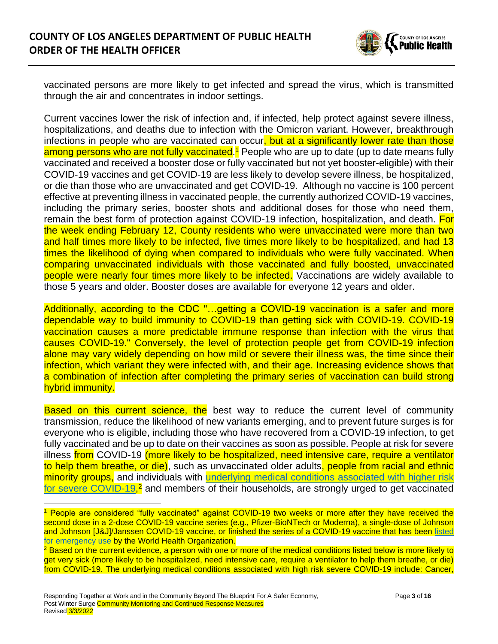

vaccinated persons are more likely to get infected and spread the virus, which is transmitted through the air and concentrates in indoor settings.

Current vaccines lower the risk of infection and, if infected, help protect against severe illness, hospitalizations, and deaths due to infection with the Omicron variant. However, breakthrough infections in people who are vaccinated can occur, but at a significantly lower rate than those among persons who are not fully vaccinated.<sup>1</sup> People who are up to date (up to date means fully vaccinated and received a booster dose or fully vaccinated but not yet booster-eligible) with their COVID-19 vaccines and get COVID-19 are less likely to develop severe illness, be hospitalized, or die than those who are unvaccinated and get COVID-19. Although no vaccine is 100 percent effective at preventing illness in vaccinated people, the currently authorized COVID-19 vaccines, including the primary series, booster shots and additional doses for those who need them, remain the best form of protection against COVID-19 infection, hospitalization, and death. For the week ending February 12, County residents who were unvaccinated were more than two and half times more likely to be infected, five times more likely to be hospitalized, and had 13 times the likelihood of dying when compared to individuals who were fully vaccinated. When comparing unvaccinated individuals with those vaccinated and fully boosted, unvaccinated people were nearly four times more likely to be infected. Vaccinations are widely available to those 5 years and older. Booster doses are available for everyone 12 years and older.

Additionally, according to the CDC "...getting a COVID-19 vaccination is a safer and more dependable way to build immunity to COVID-19 than getting sick with COVID-19. COVID-19 vaccination causes a more predictable immune response than infection with the virus that causes COVID-19." Conversely, the level of protection people get from COVID-19 infection alone may vary widely depending on how mild or severe their illness was, the time since their infection, which variant they were infected with, and their age. Increasing evidence shows that a combination of infection after completing the primary series of vaccination can build strong hybrid immunity.

**Based on this current science, the** best way to reduce the current level of community transmission, reduce the likelihood of new variants emerging, and to prevent future surges is for everyone who is eligible, including those who have recovered from a COVID-19 infection, to get fully vaccinated and be up to date on their vaccines as soon as possible. People at risk for severe illness from COVID-19 (more likely to be hospitalized, need intensive care, require a ventilator to help them breathe, or die), such as unvaccinated older adults, people from racial and ethnic minority groups, and individuals with [underlying medical conditions](https://www.cdc.gov/coronavirus/2019-ncov/need-extra-precautions/people-with-medical-conditions.html) associated with higher risk [for severe COVID-19,](https://www.cdc.gov/coronavirus/2019-ncov/need-extra-precautions/people-with-medical-conditions.html)<sup>2</sup> and members of their households, are strongly urged to get vaccinated

<sup>&</sup>lt;sup>1</sup> People are considered "fully vaccinated" against COVID-19 two weeks or more after they have received the second dose in a 2-dose COVID-19 vaccine series (e.g., Pfizer-BioNTech or Moderna), a single-dose of Johnson and Johnson [J&J]/Janssen COVID-19 vaccine, or finished the series of a COVID-19 vaccine that has been [listed](https://extranet.who.int/pqweb/vaccines/covid-19-vaccines)  [for emergency use](https://extranet.who.int/pqweb/vaccines/covid-19-vaccines) by the World Health Organization.

<sup>&</sup>lt;sup>2</sup> Based on the current evidence, a person with one or more of the medical conditions listed below is more likely to get very sick (more likely to be hospitalized, need intensive care, require a ventilator to help them breathe, or die) from COVID-19. The underlying medical conditions associated with high risk severe COVID-19 include: Cancer,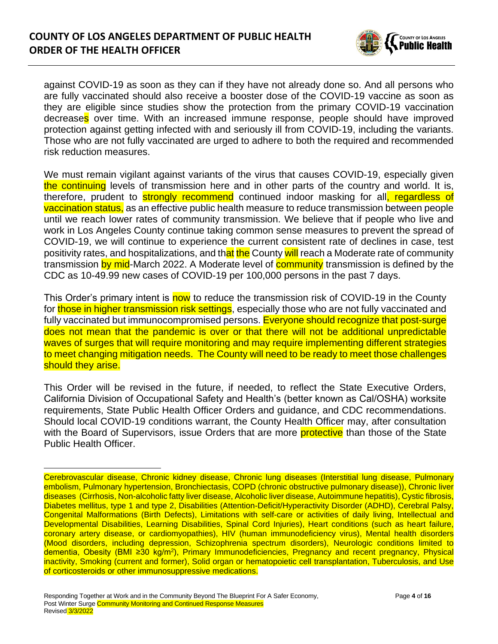

against COVID-19 as soon as they can if they have not already done so. And all persons who are fully vaccinated should also receive a booster dose of the COVID-19 vaccine as soon as they are eligible since studies show the protection from the primary COVID-19 vaccination decreases over time. With an increased immune response, people should have improved protection against getting infected with and seriously ill from COVID-19, including the variants. Those who are not fully vaccinated are urged to adhere to both the required and recommended risk reduction measures.

We must remain vigilant against variants of the virus that causes COVID-19, especially given the continuing levels of transmission here and in other parts of the country and world. It is, therefore, prudent to **strongly recommend** continued indoor masking for all, regardless of vaccination status, as an effective public health measure to reduce transmission between people until we reach lower rates of community transmission. We believe that if people who live and work in Los Angeles County continue taking common sense measures to prevent the spread of COVID-19, we will continue to experience the current consistent rate of declines in case, test positivity rates, and hospitalizations, and that the County will reach a Moderate rate of community transmission by mid-March 2022. A Moderate level of **community** transmission is defined by the CDC as 10-49.99 new cases of COVID-19 per 100,000 persons in the past 7 days.

This Order's primary intent is now to reduce the transmission risk of COVID-19 in the County for those in higher transmission risk settings, especially those who are not fully vaccinated and fully vaccinated but immunocompromised persons. Everyone should recognize that post-surge does not mean that the pandemic is over or that there will not be additional unpredictable waves of surges that will require monitoring and may require implementing different strategies to meet changing mitigation needs. The County will need to be ready to meet those challenges should they arise.

This Order will be revised in the future, if needed, to reflect the State Executive Orders, California Division of Occupational Safety and Health's (better known as Cal/OSHA) worksite requirements, State Public Health Officer Orders and guidance, and CDC recommendations. Should local COVID-19 conditions warrant, the County Health Officer may, after consultation with the Board of Supervisors, issue Orders that are more **protective** than those of the State Public Health Officer.

Cerebrovascular disease, Chronic kidney disease, Chronic lung diseases (Interstitial lung disease, Pulmonary embolism, Pulmonary hypertension, Bronchiectasis, COPD (chronic obstructive pulmonary disease)), Chronic liver diseases (Cirrhosis, Non-alcoholic fatty liver disease, Alcoholic liver disease, Autoimmune hepatitis), Cystic fibrosis, Diabetes mellitus, type 1 and type 2, Disabilities (Attention-Deficit/Hyperactivity Disorder (ADHD), Cerebral Palsy, Congenital Malformations (Birth Defects), Limitations with self-care or activities of daily living, Intellectual and Developmental Disabilities, Learning Disabilities, Spinal Cord Injuries), Heart conditions (such as heart failure, coronary artery disease, or cardiomyopathies), HIV (human immunodeficiency virus), Mental health disorders (Mood disorders, including depression, Schizophrenia spectrum disorders), Neurologic conditions limited to dementia, Obesity (BMI ≥30 kg/m<sup>2</sup>), Primary Immunodeficiencies, Pregnancy and recent pregnancy, Physical inactivity, Smoking (current and former), Solid organ or hematopoietic cell transplantation, Tuberculosis, and Use of corticosteroids or other immunosuppressive medications.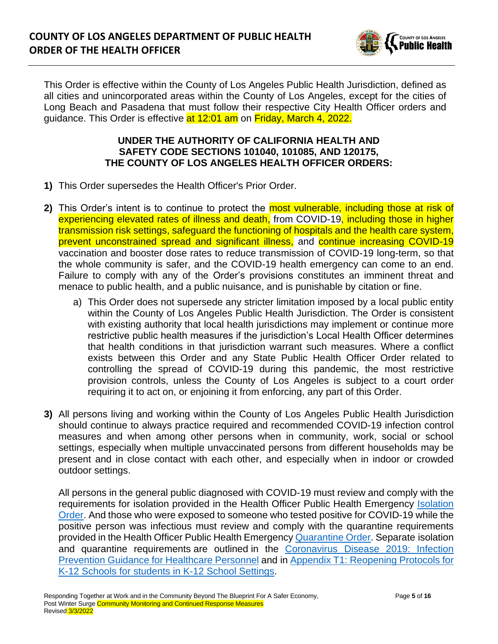

This Order is effective within the County of Los Angeles Public Health Jurisdiction, defined as all cities and unincorporated areas within the County of Los Angeles, except for the cities of Long Beach and Pasadena that must follow their respective City Health Officer orders and guidance. This Order is effective at 12:01 am on Friday, March 4, 2022.

#### **UNDER THE AUTHORITY OF CALIFORNIA HEALTH AND SAFETY CODE SECTIONS 101040, 101085, AND 120175, THE COUNTY OF LOS ANGELES HEALTH OFFICER ORDERS:**

- **1)** This Order supersedes the Health Officer's Prior Order.
- **2)** This Order's intent is to continue to protect the most vulnerable, including those at risk of experiencing elevated rates of illness and death, from COVID-19, including those in higher transmission risk settings, safeguard the functioning of hospitals and the health care system, prevent unconstrained spread and significant illness, and continue increasing COVID-19 vaccination and booster dose rates to reduce transmission of COVID-19 long-term, so that the whole community is safer, and the COVID-19 health emergency can come to an end. Failure to comply with any of the Order's provisions constitutes an imminent threat and menace to public health, and a public nuisance, and is punishable by citation or fine.
	- a) This Order does not supersede any stricter limitation imposed by a local public entity within the County of Los Angeles Public Health Jurisdiction. The Order is consistent with existing authority that local health jurisdictions may implement or continue more restrictive public health measures if the jurisdiction's Local Health Officer determines that health conditions in that jurisdiction warrant such measures. Where a conflict exists between this Order and any State Public Health Officer Order related to controlling the spread of COVID-19 during this pandemic, the most restrictive provision controls, unless the County of Los Angeles is subject to a court order requiring it to act on, or enjoining it from enforcing, any part of this Order.
- **3)** All persons living and working within the County of Los Angeles Public Health Jurisdiction should continue to always practice required and recommended COVID-19 infection control measures and when among other persons when in community, work, social or school settings, especially when multiple unvaccinated persons from different households may be present and in close contact with each other, and especially when in indoor or crowded outdoor settings.

All persons in the general public diagnosed with COVID-19 must review and comply with the requirements for isolation provided in the Health Officer Public Health Emergency [Isolation](http://publichealth.lacounty.gov/media/Coronavirus/docs/HOO/HOO_Coronavirus_Blanket_Isolation.pdf)  [Order.](http://publichealth.lacounty.gov/media/Coronavirus/docs/HOO/HOO_Coronavirus_Blanket_Isolation.pdf) And those who were exposed to someone who tested positive for COVID-19 while the positive person was infectious must review and comply with the quarantine requirements provided in the Health Officer Public Health Emergency [Quarantine Order.](http://publichealth.lacounty.gov/media/Coronavirus/docs/HOO/HOO_Coronavirus_Blanket_Quarantine.pdf) Separate isolation and quarantine requirements are outlined in the [Coronavirus Disease 2019: Infection](http://publichealth.lacounty.gov/acd/ncorona2019/healthfacilities/HCPMonitoring/)  [Prevention Guidance for Healthcare Personnel](http://publichealth.lacounty.gov/acd/ncorona2019/healthfacilities/HCPMonitoring/) and in [Appendix T1: Reopening Protocols for](http://publichealth.lacounty.gov/media/Coronavirus/docs/protocols/Reopening_K12Schools.pdf)  [K-12 Schools for students in K-12 School Settings.](http://publichealth.lacounty.gov/media/Coronavirus/docs/protocols/Reopening_K12Schools.pdf)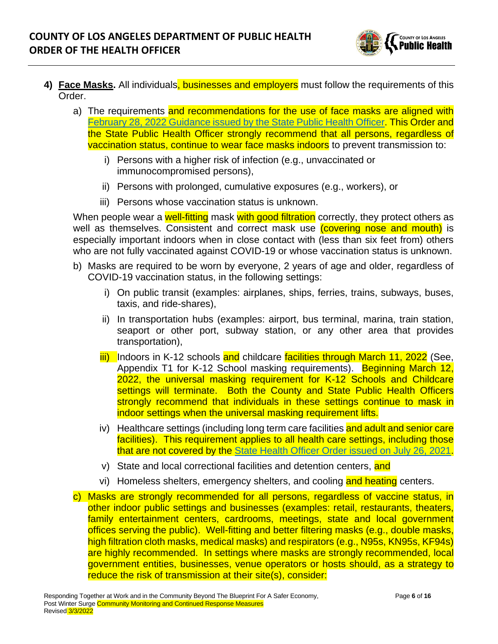

- **4) Face Masks.** All individuals, businesses and employers must follow the requirements of this Order.
	- a) The requirements and recommendations for the use of face masks are aligned with February 28, 2022 [Guidance issued by the State Public Health Officer.](https://www.cdph.ca.gov/Programs/CID/DCDC/Pages/COVID-19/guidance-for-face-coverings.aspx#:~:text=California%20Department%20of%20Public%20Health&text=Updates%20as%20of%20February%2028,vaccine%20status%2C%20continue%20indoor%20masking.) This Order and the State Public Health Officer strongly recommend that all persons, regardless of vaccination status, continue to wear face masks indoors to prevent transmission to:
		- i) Persons with a higher risk of infection (e.g., unvaccinated or immunocompromised persons),
		- ii) Persons with prolonged, cumulative exposures (e.g., workers), or
		- iii) Persons whose vaccination status is unknown.

When people wear a well-fitting mask with good filtration correctly, they protect others as well as themselves. Consistent and correct mask use (covering nose and mouth) is especially important indoors when in close contact with (less than six feet from) others who are not fully vaccinated against COVID-19 or whose vaccination status is unknown.

- b) Masks are required to be worn by everyone, 2 years of age and older, regardless of COVID-19 vaccination status, in the following settings:
	- i) On public transit (examples: airplanes, ships, ferries, trains, subways, buses, taxis, and ride-shares),
	- ii) In transportation hubs (examples: airport, bus terminal, marina, train station, seaport or other port, subway station, or any other area that provides transportation),
	- iii) Indoors in K-12 schools and childcare facilities through March 11, 2022 (See, Appendix T1 for K-12 School masking requirements). Beginning March 12, 2022, the universal masking requirement for K-12 Schools and Childcare settings will terminate. Both the County and State Public Health Officers strongly recommend that individuals in these settings continue to mask in indoor settings when the universal masking requirement lifts.
	- iv) Healthcare settings (including long term care facilities and adult and senior care facilities). This requirement applies to all health care settings, including those that are not covered by the [State Health Officer Order issued on July 26, 2021.](https://www.cdph.ca.gov/Programs/CID/DCDC/Pages/COVID-19/Order-of-the-State-Public-Health-Officer-Unvaccinated-Workers-In-High-Risk-Settings.aspx)
	- v) State and local correctional facilities and detention centers, and
	- vi) Homeless shelters, emergency shelters, and cooling and heating centers.
- c) Masks are strongly recommended for all persons, regardless of vaccine status, in other indoor public settings and businesses (examples: retail, restaurants, theaters, family entertainment centers, cardrooms, meetings, state and local government offices serving the public). Well-fitting and better filtering masks (e.g., double masks, high filtration cloth masks, medical masks) and respirators (e.g., N95s, KN95s, KF94s) are highly recommended. In settings where masks are strongly recommended, local government entities, businesses, venue operators or hosts should, as a strategy to reduce the risk of transmission at their site(s), consider: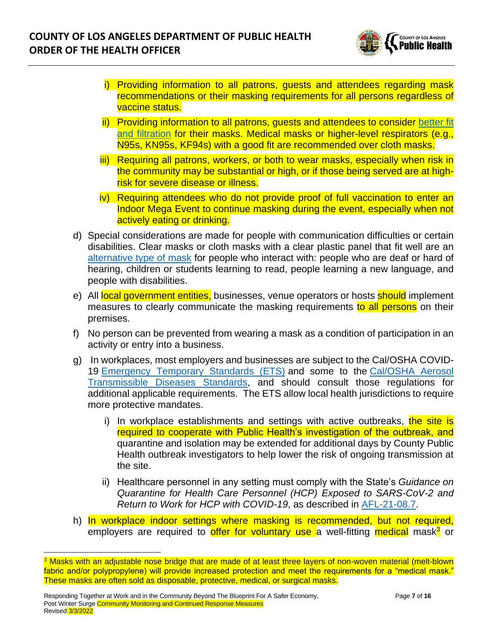

- i) Providing information to all patrons, guests and attendees regarding mask recommendations or their masking requirements for all persons regardless of vaccine status.
- ii) Providing information to all patrons, guests and attendees to consider [better fit](http://publichealth.lacounty.gov/acd/ncorona2019/masks/#kindofmask)  [and filtration](http://publichealth.lacounty.gov/acd/ncorona2019/masks/#kindofmask) for their masks. Medical masks or higher-level respirators (e.g., N95s, KN95s, KF94s) with a good fit are recommended over cloth masks.
- iii) Requiring all patrons, workers, or both to wear masks, especially when risk in the community may be substantial or high, or if those being served are at highrisk for severe disease or illness.
- iv) Requiring attendees who do not provide proof of full vaccination to enter an Indoor Mega Event to continue masking during the event, especially when not actively eating or drinking.
- d) Special considerations are made for people with communication difficulties or certain disabilities. Clear masks or cloth masks with a clear plastic panel that fit well are an [alternative type of mask](http://publichealth.lacounty.gov/acd/ncorona2019/masks/#specialconsiderations) for people who interact with: people who are deaf or hard of hearing, children or students learning to read, people learning a new language, and people with disabilities.
- e) All local government entities, businesses, venue operators or hosts **should** implement measures to clearly communicate the masking requirements to all persons on their premises.
- f) No person can be prevented from wearing a mask as a condition of participation in an activity or entry into a business.
- g) In workplaces, most employers and businesses are subject to the Cal/OSHA COVID-19 [Emergency Temporary Standards \(ETS\)](https://www.dir.ca.gov/dosh/coronavirus/ETS.html) and some to the [Cal/OSHA Aerosol](https://www.dir.ca.gov/dosh/dosh_publications/ATD-Guide.pdf)  [Transmissible Diseases Standards,](https://www.dir.ca.gov/dosh/dosh_publications/ATD-Guide.pdf) and should consult those regulations for additional applicable requirements. The ETS allow local health jurisdictions to require more protective mandates.
	- i) In workplace establishments and settings with active outbreaks, the site is required to cooperate with Public Health's investigation of the outbreak, and quarantine and isolation may be extended for additional days by County Public Health outbreak investigators to help lower the risk of ongoing transmission at the site.
	- ii) Healthcare personnel in any setting must comply with the State's *Guidance on Quarantine for Health Care Personnel (HCP) Exposed to SARS-CoV-2 and Return to Work for HCP with COVID-19*, as described in [AFL-21-08.7.](https://www.cdph.ca.gov/Programs/CHCQ/LCP/Pages/AFL-21-08.aspx)
- h) In workplace indoor settings where masking is recommended, but not required, employers are required to offer for voluntary use a well-fitting medical mask<sup>3</sup> or

<sup>&</sup>lt;sup>3</sup> Masks with an adjustable nose bridge that are made of at least three layers of non-woven material (melt-blown fabric and/or polypropylene) will provide increased protection and meet the requirements for a "medical mask." These masks are often sold as disposable, protective, medical, or surgical masks.

Responding Together at Work and in the Community Beyond The Blueprint For A Safer Economy, Page **7** of **16** Post Winter Surge Community Monitoring and Continued Response Measures Revised 3/3/2022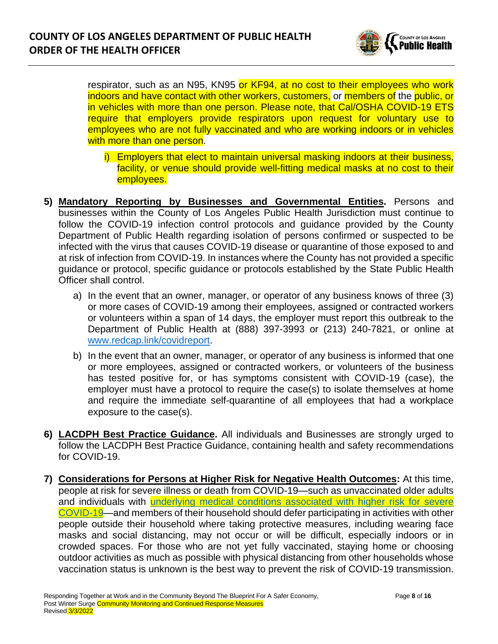

respirator, such as an N95, KN95 or KF94, at no cost to their employees who work indoors and have contact with other workers, customers, or members of the public, or in vehicles with more than one person. Please note, that Cal/OSHA COVID-19 ETS require that employers provide respirators upon request for voluntary use to employees who are not fully vaccinated and who are working indoors or in vehicles with more than one person.

- i) Employers that elect to maintain universal masking indoors at their business, facility, or venue should provide well-fitting medical masks at no cost to their employees.
- **5) Mandatory Reporting by Businesses and Governmental Entities.** Persons and businesses within the County of Los Angeles Public Health Jurisdiction must continue to follow the COVID-19 infection control protocols and guidance provided by the County Department of Public Health regarding isolation of persons confirmed or suspected to be infected with the virus that causes COVID-19 disease or quarantine of those exposed to and at risk of infection from COVID-19. In instances where the County has not provided a specific guidance or protocol, specific guidance or protocols established by the State Public Health Officer shall control.
	- a) In the event that an owner, manager, or operator of any business knows of three (3) or more cases of COVID-19 among their employees, assigned or contracted workers or volunteers within a span of 14 days, the employer must report this outbreak to the Department of Public Health at (888) 397-3993 or (213) 240-7821, or online at [www.redcap.link/covidreport.](http://www.redcap.link/covidreport)
	- b) In the event that an owner, manager, or operator of any business is informed that one or more employees, assigned or contracted workers, or volunteers of the business has tested positive for, or has symptoms consistent with COVID-19 (case), the employer must have a protocol to require the case(s) to isolate themselves at home and require the immediate self-quarantine of all employees that had a workplace exposure to the case(s).
- **6) LACDPH Best Practice Guidance.** All individuals and Businesses are strongly urged to follow the LACDPH Best Practice Guidance, containing health and safety recommendations for COVID-19.
- **7) Considerations for Persons at Higher Risk for Negative Health Outcomes:** At this time, people at risk for severe illness or death from COVID-19—such as unvaccinated older adults and individuals with [underlying medical conditions associated with higher risk for severe](https://www.cdc.gov/coronavirus/2019-ncov/need-extra-precautions/people-with-medical-conditions.html)  [COVID-19—](https://www.cdc.gov/coronavirus/2019-ncov/need-extra-precautions/people-with-medical-conditions.html)and members of their household should defer participating in activities with other people outside their household where taking protective measures, including wearing face masks and social distancing, may not occur or will be difficult, especially indoors or in crowded spaces. For those who are not yet fully vaccinated, staying home or choosing outdoor activities as much as possible with physical distancing from other households whose vaccination status is unknown is the best way to prevent the risk of COVID-19 transmission.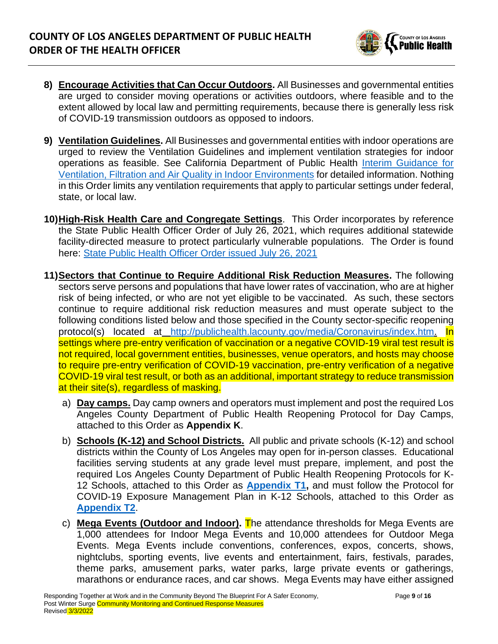

- **8) Encourage Activities that Can Occur Outdoors.** All Businesses and governmental entities are urged to consider moving operations or activities outdoors, where feasible and to the extent allowed by local law and permitting requirements, because there is generally less risk of COVID-19 transmission outdoors as opposed to indoors.
- **9) Ventilation Guidelines.** All Businesses and governmental entities with indoor operations are urged to review the Ventilation Guidelines and implement ventilation strategies for indoor operations as feasible. See California Department of Public Health [Interim Guidance for](https://www.cdph.ca.gov/Programs/CID/DCDC/Pages/COVID-19/Interim-Guidance-for-Ventilation-Filtration-and-Air-Quality-in-Indoor-Environments.aspx)  [Ventilation, Filtration and Air Quality in Indoor](https://www.cdph.ca.gov/Programs/CID/DCDC/Pages/COVID-19/Interim-Guidance-for-Ventilation-Filtration-and-Air-Quality-in-Indoor-Environments.aspx) Environments for detailed information. Nothing in this Order limits any ventilation requirements that apply to particular settings under federal, state, or local law.
- **10)High-Risk Health Care and Congregate Settings**. This Order incorporates by reference the State Public Health Officer Order of July 26, 2021, which requires additional statewide facility-directed measure to protect particularly vulnerable populations. The Order is found here: [State Public Health Officer Order issued July 26, 2021](file://///hosted/dph/county%20health%20officer/Projects/Emergency%20Response/Coronavirus/Health%20Officer%20Orders/Beyond%20the%20Blueprint/2021.07.30_HOO%20Revision/State%20Public%20Health%20Officer%20Order%20issued%20July%2026,%202021)
- **11)Sectors that Continue to Require Additional Risk Reduction Measures.** The following sectors serve persons and populations that have lower rates of vaccination, who are at higher risk of being infected, or who are not yet eligible to be vaccinated. As such, these sectors continue to require additional risk reduction measures and must operate subject to the following conditions listed below and those specified in the County sector-specific reopening protocol(s) located at [http://publichealth.lacounty.gov/media/Coronavirus/index.htm.](http://publichealth.lacounty.gov/media/Coronavirus/index.htm) In settings where pre-entry verification of vaccination or a negative COVID-19 viral test result is not required, local government entities, businesses, venue operators, and hosts may choose to require pre-entry verification of COVID-19 vaccination, pre-entry verification of a negative COVID-19 viral test result, or both as an additional, important strategy to reduce transmission at their site(s), regardless of masking.
	- a) **Day camps.** Day camp owners and operators must implement and post the required Los Angeles County Department of Public Health Reopening Protocol for Day Camps, attached to this Order as **Appendix K**.
	- b) **Schools (K-12) and School Districts.** All public and private schools (K-12) and school districts within the County of Los Angeles may open for in-person classes. Educational facilities serving students at any grade level must prepare, implement, and post the required Los Angeles County Department of Public Health Reopening Protocols for K-12 Schools, attached to this Order as **[Appendix T1,](http://publichealth.lacounty.gov/media/Coronavirus/docs/protocols/Reopening_K12Schools.pdf)** and must follow the Protocol for COVID-19 Exposure Management Plan in K-12 Schools, attached to this Order as **[Appendix T2](http://www.ph.lacounty.gov/media/Coronavirus/docs/protocols/ExposureManagementPlan_K12Schools.pdf)**.
	- c) **Mega Events (Outdoor and Indoor).** The attendance thresholds for Mega Events are 1,000 attendees for Indoor Mega Events and 10,000 attendees for Outdoor Mega Events. Mega Events include conventions, conferences, expos, concerts, shows, nightclubs, sporting events, live events and entertainment, fairs, festivals, parades, theme parks, amusement parks, water parks, large private events or gatherings, marathons or endurance races, and car shows. Mega Events may have either assigned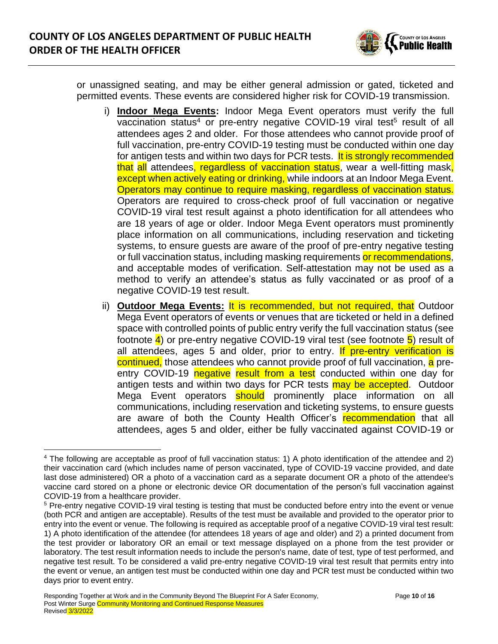

or unassigned seating, and may be either general admission or gated, ticketed and permitted events. These events are considered higher risk for COVID-19 transmission.

- i) **Indoor Mega Events:** Indoor Mega Event operators must verify the full vaccination status<sup>4</sup> or pre-entry negative COVID-19 viral test<sup>5</sup> result of all attendees ages 2 and older. For those attendees who cannot provide proof of full vaccination, pre-entry COVID-19 testing must be conducted within one day for antigen tests and within two days for PCR tests. It is strongly recommended that all attendees, regardless of vaccination status, wear a well-fitting mask, except when actively eating or drinking, while indoors at an Indoor Mega Event. Operators may continue to require masking, regardless of vaccination status. Operators are required to cross-check proof of full vaccination or negative COVID-19 viral test result against a photo identification for all attendees who are 18 years of age or older. Indoor Mega Event operators must prominently place information on all communications, including reservation and ticketing systems, to ensure guests are aware of the proof of pre-entry negative testing or full vaccination status, including masking requirements or recommendations, and acceptable modes of verification. Self-attestation may not be used as a method to verify an attendee's status as fully vaccinated or as proof of a negative COVID-19 test result.
- ii) **Outdoor Mega Events:** It is recommended, but not required, that Outdoor Mega Event operators of events or venues that are ticketed or held in a defined space with controlled points of public entry verify the full vaccination status (see footnote  $\overline{4}$ ) or pre-entry negative COVID-19 viral test (see footnote  $\overline{5}$ ) result of all attendees, ages 5 and older, prior to entry. If pre-entry verification is continued, those attendees who cannot provide proof of full vaccination, a preentry COVID-19 negative result from a test conducted within one day for antigen tests and within two days for PCR tests may be accepted. Outdoor Mega Event operators **should** prominently place information on all communications, including reservation and ticketing systems, to ensure guests are aware of both the County Health Officer's recommendation that all attendees, ages 5 and older, either be fully vaccinated against COVID-19 or

<sup>4</sup> The following are acceptable as proof of full vaccination status: 1) A photo identification of the attendee and 2) their vaccination card (which includes name of person vaccinated, type of COVID-19 vaccine provided, and date last dose administered) OR a photo of a vaccination card as a separate document OR a photo of the attendee's vaccine card stored on a phone or electronic device OR documentation of the person's full vaccination against COVID-19 from a healthcare provider.

<sup>5</sup> Pre-entry negative COVID-19 viral testing is testing that must be conducted before entry into the event or venue (both PCR and antigen are acceptable). Results of the test must be available and provided to the operator prior to entry into the event or venue. The following is required as acceptable proof of a negative COVID-19 viral test result: 1) A photo identification of the attendee (for attendees 18 years of age and older) and 2) a printed document from the test provider or laboratory OR an email or text message displayed on a phone from the test provider or laboratory. The test result information needs to include the person's name, date of test, type of test performed, and negative test result. To be considered a valid pre-entry negative COVID-19 viral test result that permits entry into the event or venue, an antigen test must be conducted within one day and PCR test must be conducted within two days prior to event entry.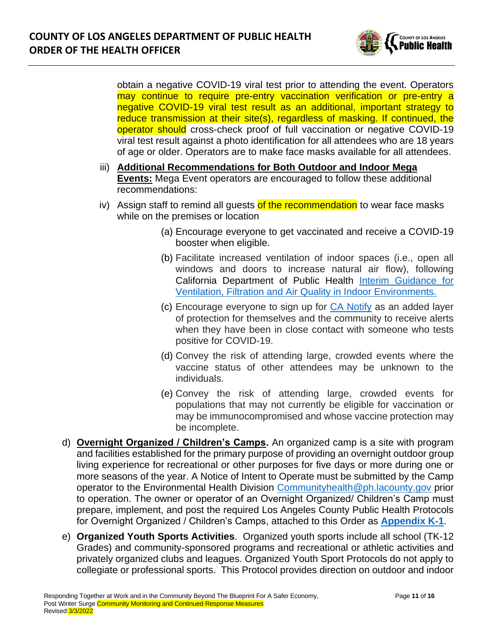

obtain a negative COVID-19 viral test prior to attending the event. Operators may continue to require pre-entry vaccination verification or pre-entry a negative COVID-19 viral test result as an additional, important strategy to reduce transmission at their site(s), regardless of masking. If continued, the operator should cross-check proof of full vaccination or negative COVID-19 viral test result against a photo identification for all attendees who are 18 years of age or older. Operators are to make face masks available for all attendees.

- iii) **Additional Recommendations for Both Outdoor and Indoor Mega Events:** Mega Event operators are encouraged to follow these additional recommendations:
- iv) Assign staff to remind all guests of the recommendation to wear face masks while on the premises or location
	- (a) Encourage everyone to get vaccinated and receive a COVID-19 booster when eligible.
	- (b) Facilitate increased ventilation of indoor spaces (i.e., open all windows and doors to increase natural air flow), following California Department of Public Health [Interim Guidance for](https://www.cdph.ca.gov/Programs/CID/DCDC/Pages/COVID-19/Interim-Guidance-for-Ventilation-Filtration-and-Air-Quality-in-Indoor-Environments.aspx)  [Ventilation, Filtration and Air Quality in Indoor Environments.](https://www.cdph.ca.gov/Programs/CID/DCDC/Pages/COVID-19/Interim-Guidance-for-Ventilation-Filtration-and-Air-Quality-in-Indoor-Environments.aspx)
	- (c) Encourage everyone to sign up for [CA Notify](https://canotify.ca.gov/#section2) as an added layer of protection for themselves and the community to receive alerts when they have been in close contact with someone who tests positive for COVID-19.
	- (d) Convey the risk of attending large, crowded events where the vaccine status of other attendees may be unknown to the individuals.
	- (e) Convey the risk of attending large, crowded events for populations that may not currently be eligible for vaccination or may be immunocompromised and whose vaccine protection may be incomplete.
- d) **Overnight Organized / Children's Camps.** An organized camp is a site with program and facilities established for the primary purpose of providing an overnight outdoor group living experience for recreational or other purposes for five days or more during one or more seasons of the year. A Notice of Intent to Operate must be submitted by the Camp operator to the Environmental Health Division [Communityhealth@ph.lacounty.gov](mailto:Communityhealth@ph.lacounty.gov) prior to operation. The owner or operator of an Overnight Organized/ Children's Camp must prepare, implement, and post the required Los Angeles County Public Health Protocols for Overnight Organized / Children's Camps, attached to this Order as **[Appendix K-1](http://publichealth.lacounty.gov/media/Coronavirus/docs/protocols/Reopening_OvernightCamps.pdf)**.
- e) **Organized Youth Sports Activities**. Organized youth sports include all school (TK-12 Grades) and community-sponsored programs and recreational or athletic activities and privately organized clubs and leagues. Organized Youth Sport Protocols do not apply to collegiate or professional sports. This Protocol provides direction on outdoor and indoor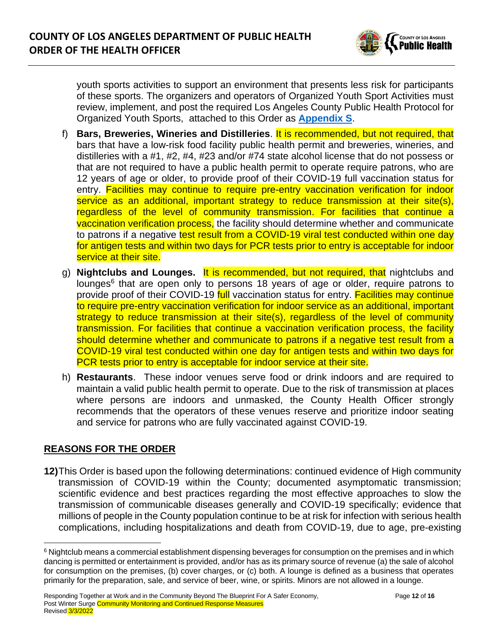

youth sports activities to support an environment that presents less risk for participants of these sports. The organizers and operators of Organized Youth Sport Activities must review, implement, and post the required Los Angeles County Public Health Protocol for Organized Youth Sports, attached to this Order as **[Appendix S](http://publichealth.lacounty.gov/media/Coronavirus/docs/protocols/Reopening_YouthSports.pdf)**.

- f) **Bars, Breweries, Wineries and Distilleries**. It is recommended, but not required, that bars that have a low-risk food facility public health permit and breweries, wineries, and distilleries with a #1, #2, #4, #23 and/or #74 state alcohol license that do not possess or that are not required to have a public health permit to operate require patrons, who are 12 years of age or older, to provide proof of their COVID-19 full vaccination status for entry. Facilities may continue to require pre-entry vaccination verification for indoor service as an additional, important strategy to reduce transmission at their site(s), regardless of the level of community transmission. For facilities that continue a vaccination verification process, the facility should determine whether and communicate to patrons if a negative test result from a COVID-19 viral test conducted within one day for antigen tests and within two days for PCR tests prior to entry is acceptable for indoor service at their site.
- g) **Nightclubs and Lounges.** It is recommended, but not required, that nightclubs and lounges<sup>6</sup> that are open only to persons 18 years of age or older, require patrons to provide proof of their COVID-19 full vaccination status for entry. **Facilities may continue** to require pre-entry vaccination verification for indoor service as an additional, important strategy to reduce transmission at their site(s), regardless of the level of community transmission. For facilities that continue a vaccination verification process, the facility should determine whether and communicate to patrons if a negative test result from a COVID-19 viral test conducted within one day for antigen tests and within two days for PCR tests prior to entry is acceptable for indoor service at their site.
- h) **Restaurants**. These indoor venues serve food or drink indoors and are required to maintain a valid public health permit to operate. Due to the risk of transmission at places where persons are indoors and unmasked, the County Health Officer strongly recommends that the operators of these venues reserve and prioritize indoor seating and service for patrons who are fully vaccinated against COVID-19.

### **REASONS FOR THE ORDER**

**12)**This Order is based upon the following determinations: continued evidence of High community transmission of COVID-19 within the County; documented asymptomatic transmission; scientific evidence and best practices regarding the most effective approaches to slow the transmission of communicable diseases generally and COVID-19 specifically; evidence that millions of people in the County population continue to be at risk for infection with serious health complications, including hospitalizations and death from COVID-19, due to age, pre-existing

<sup>&</sup>lt;sup>6</sup> Nightclub means a commercial establishment dispensing beverages for consumption on the premises and in which dancing is permitted or entertainment is provided, and/or has as its primary source of revenue (a) the sale of alcohol for consumption on the premises, (b) cover charges, or (c) both. A lounge is defined as a business that operates primarily for the preparation, sale, and service of beer, wine, or spirits. Minors are not allowed in a lounge.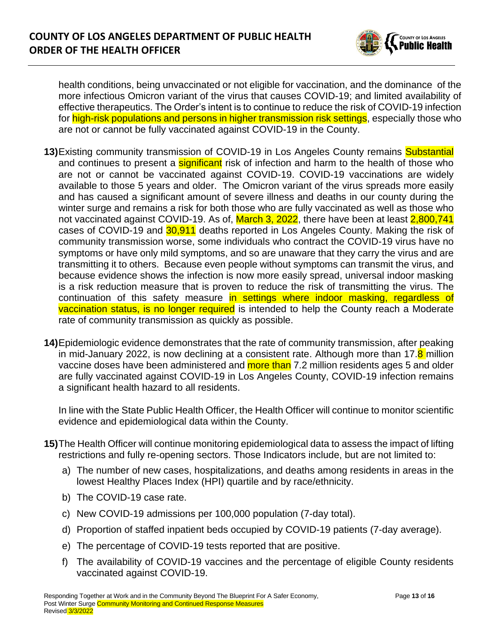

health conditions, being unvaccinated or not eligible for vaccination, and the dominance of the more infectious Omicron variant of the virus that causes COVID-19; and limited availability of effective therapeutics. The Order's intent is to continue to reduce the risk of COVID-19 infection for high-risk populations and persons in higher transmission risk settings, especially those who are not or cannot be fully vaccinated against COVID-19 in the County.

- **13)**Existing community transmission of COVID-19 in Los Angeles County remains Substantial and continues to present a **significant** risk of infection and harm to the health of those who are not or cannot be vaccinated against COVID-19. COVID-19 vaccinations are widely available to those 5 years and older. The Omicron variant of the virus spreads more easily and has caused a significant amount of severe illness and deaths in our county during the winter surge and remains a risk for both those who are fully vaccinated as well as those who not vaccinated against COVID-19. As of, March 3, 2022, there have been at least 2,800,741 cases of COVID-19 and 30,911 deaths reported in Los Angeles County. Making the risk of community transmission worse, some individuals who contract the COVID-19 virus have no symptoms or have only mild symptoms, and so are unaware that they carry the virus and are transmitting it to others. Because even people without symptoms can transmit the virus, and because evidence shows the infection is now more easily spread, universal indoor masking is a risk reduction measure that is proven to reduce the risk of transmitting the virus. The continuation of this safety measure in settings where indoor masking, regardless of vaccination status, is no longer required is intended to help the County reach a Moderate rate of community transmission as quickly as possible.
- **14)**Epidemiologic evidence demonstrates that the rate of community transmission, after peaking in mid-January 2022, is now declining at a consistent rate. Although more than 17.8 million vaccine doses have been administered and **more than** 7.2 million residents ages 5 and older are fully vaccinated against COVID-19 in Los Angeles County, COVID-19 infection remains a significant health hazard to all residents.

In line with the State Public Health Officer, the Health Officer will continue to monitor scientific evidence and epidemiological data within the County.

- **15)**The Health Officer will continue monitoring epidemiological data to assess the impact of lifting restrictions and fully re-opening sectors. Those Indicators include, but are not limited to:
	- a) The number of new cases, hospitalizations, and deaths among residents in areas in the lowest Healthy Places Index (HPI) quartile and by race/ethnicity.
	- b) The COVID-19 case rate.
	- c) New COVID-19 admissions per 100,000 population (7-day total).
	- d) Proportion of staffed inpatient beds occupied by COVID-19 patients (7-day average).
	- e) The percentage of COVID-19 tests reported that are positive.
	- f) The availability of COVID-19 vaccines and the percentage of eligible County residents vaccinated against COVID-19.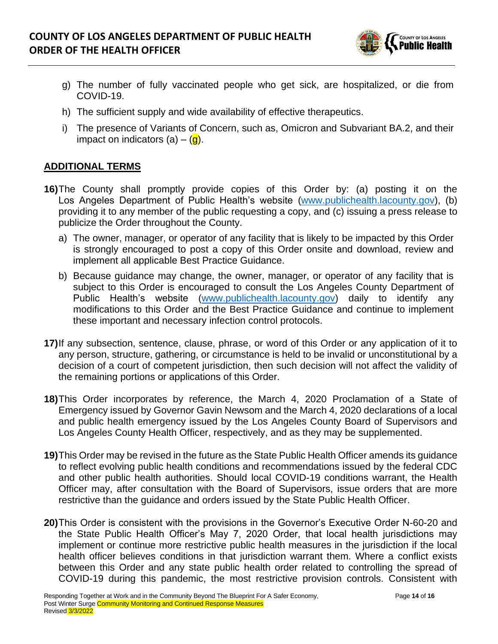

- g) The number of fully vaccinated people who get sick, are hospitalized, or die from COVID-19.
- h) The sufficient supply and wide availability of effective therapeutics.
- i) The presence of Variants of Concern, such as, Omicron and Subvariant BA.2, and their impact on indicators  $(a) - (q)$ .

## **ADDITIONAL TERMS**

- **16)**The County shall promptly provide copies of this Order by: (a) posting it on the Los Angeles Department of Public Health's website [\(www.publichealth.lacounty.gov\)](http://www.publichealth.lacounty.gov/), (b) providing it to any member of the public requesting a copy, and (c) issuing a press release to publicize the Order throughout the County.
	- a) The owner, manager, or operator of any facility that is likely to be impacted by this Order is strongly encouraged to post a copy of this Order onsite and download, review and implement all applicable Best Practice Guidance.
	- b) Because guidance may change, the owner, manager, or operator of any facility that is subject to this Order is encouraged to consult the Los Angeles County Department of Public Health's website [\(www.publichealth.lacounty.gov\)](http://www.publichealth.lacounty.gov/) daily to identify any modifications to this Order and the Best Practice Guidance and continue to implement these important and necessary infection control protocols.
- **17)**If any subsection, sentence, clause, phrase, or word of this Order or any application of it to any person, structure, gathering, or circumstance is held to be invalid or unconstitutional by a decision of a court of competent jurisdiction, then such decision will not affect the validity of the remaining portions or applications of this Order.
- **18)**This Order incorporates by reference, the March 4, 2020 Proclamation of a State of Emergency issued by Governor Gavin Newsom and the March 4, 2020 declarations of a local and public health emergency issued by the Los Angeles County Board of Supervisors and Los Angeles County Health Officer, respectively, and as they may be supplemented.
- **19)**This Order may be revised in the future as the State Public Health Officer amends its guidance to reflect evolving public health conditions and recommendations issued by the federal CDC and other public health authorities. Should local COVID-19 conditions warrant, the Health Officer may, after consultation with the Board of Supervisors, issue orders that are more restrictive than the guidance and orders issued by the State Public Health Officer.
- **20)**This Order is consistent with the provisions in the Governor's Executive Order N-60-20 and the State Public Health Officer's May 7, 2020 Order, that local health jurisdictions may implement or continue more restrictive public health measures in the jurisdiction if the local health officer believes conditions in that jurisdiction warrant them. Where a conflict exists between this Order and any state public health order related to controlling the spread of COVID-19 during this pandemic, the most restrictive provision controls. Consistent with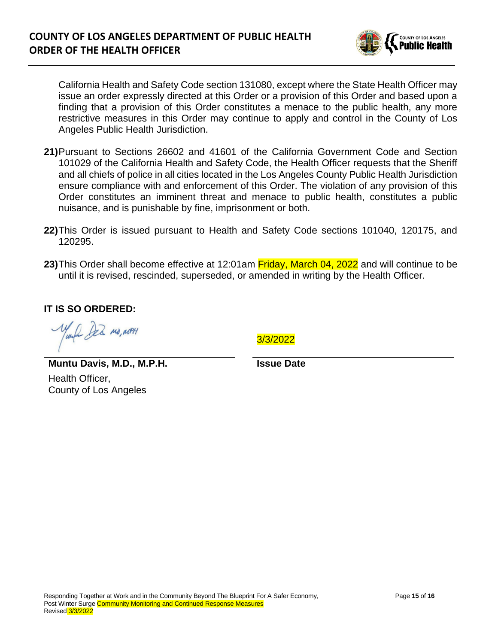

California Health and Safety Code section 131080, except where the State Health Officer may issue an order expressly directed at this Order or a provision of this Order and based upon a finding that a provision of this Order constitutes a menace to the public health, any more restrictive measures in this Order may continue to apply and control in the County of Los Angeles Public Health Jurisdiction.

- **21)**Pursuant to Sections 26602 and 41601 of the California Government Code and Section 101029 of the California Health and Safety Code, the Health Officer requests that the Sheriff and all chiefs of police in all cities located in the Los Angeles County Public Health Jurisdiction ensure compliance with and enforcement of this Order. The violation of any provision of this Order constitutes an imminent threat and menace to public health, constitutes a public nuisance, and is punishable by fine, imprisonment or both.
- **22)**This Order is issued pursuant to Health and Safety Code sections 101040, 120175, and 120295.
- **23)**This Order shall become effective at 12:01am Friday, March 04, 2022 and will continue to be until it is revised, rescinded, superseded, or amended in writing by the Health Officer.

**IT IS SO ORDERED:** 

AR MO, MPH

3/3/2022

**Muntu Davis, M.D., M.P.H.** Health Officer, County of Los Angeles

**Issue Date**